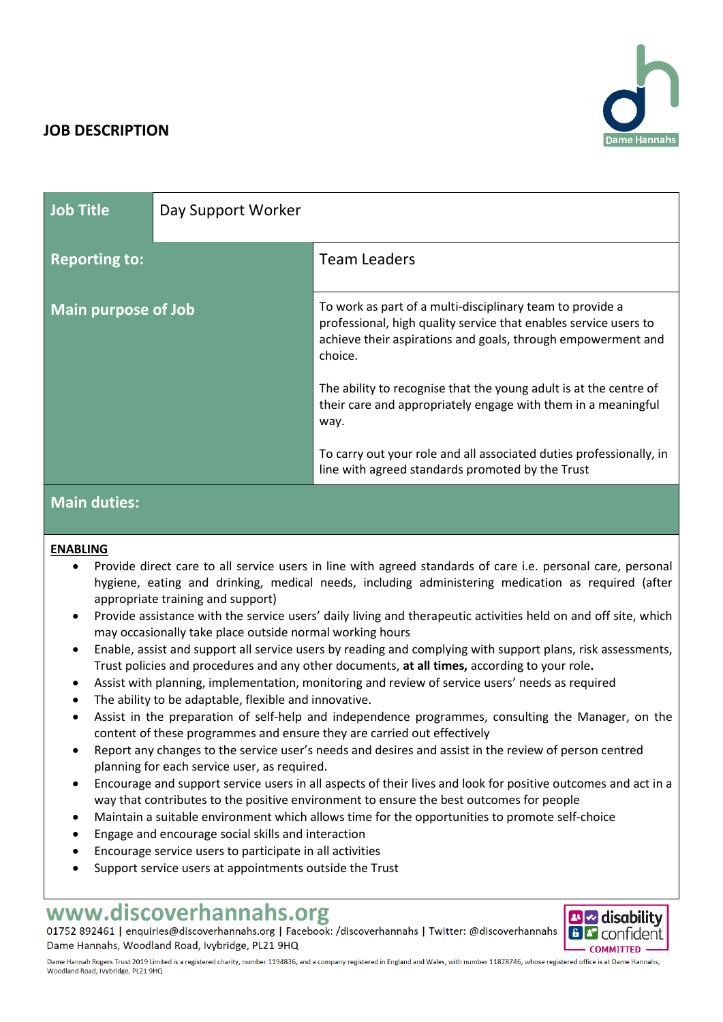# **JOB DESCRIPTION**



| <b>Job Title</b>           | Day Support Worker |                                                                                                                                                                                                          |
|----------------------------|--------------------|----------------------------------------------------------------------------------------------------------------------------------------------------------------------------------------------------------|
| <b>Reporting to:</b>       |                    | <b>Team Leaders</b>                                                                                                                                                                                      |
| <b>Main purpose of Job</b> |                    | To work as part of a multi-disciplinary team to provide a<br>professional, high quality service that enables service users to<br>achieve their aspirations and goals, through empowerment and<br>choice. |
|                            |                    | The ability to recognise that the young adult is at the centre of<br>their care and appropriately engage with them in a meaningful<br>way.                                                               |
|                            |                    | To carry out your role and all associated duties professionally, in<br>line with agreed standards promoted by the Trust                                                                                  |

# **Main duties:**

### **ENABLING**

- Provide direct care to all service users in line with agreed standards of care i.e. personal care, personal hygiene, eating and drinking, medical needs, including administering medication as required (after appropriate training and support)
- Provide assistance with the service users' daily living and therapeutic activities held on and off site, which may occasionally take place outside normal working hours
- Enable, assist and support all service users by reading and complying with support plans, risk assessments, Trust policies and procedures and any other documents, **at all times,** according to your role**.**
- Assist with planning, implementation, monitoring and review of service users' needs as required
- The ability to be adaptable, flexible and innovative.
- Assist in the preparation of self-help and independence programmes, consulting the Manager, on the content of these programmes and ensure they are carried out effectively
- Report any changes to the service user's needs and desires and assist in the review of person centred planning for each service user, as required.
- Encourage and support service users in all aspects of their lives and look for positive outcomes and act in a way that contributes to the positive environment to ensure the best outcomes for people
- Maintain a suitable environment which allows time for the opportunities to promote self-choice
- Engage and encourage social skills and interaction
- Encourage service users to participate in all activities
- Support service users at appointments outside the Trust

# www.discoverhannahs.org

01752 892461 | enquiries@discoverhannahs.org | Facebook: /discoverhannahs | Twitter: @discoverhannahs Dame Hannahs, Woodland Road, Ivybridge, PL21 9HQ



Dame Hannah Rogers Trust 2019 Limited is a registered charity, number 1194836, and a company registered in England and Wales, with number 11878746, whose registered office is at Dame Hannahs, Woodland Road, Ivybridge, PL21 9HQ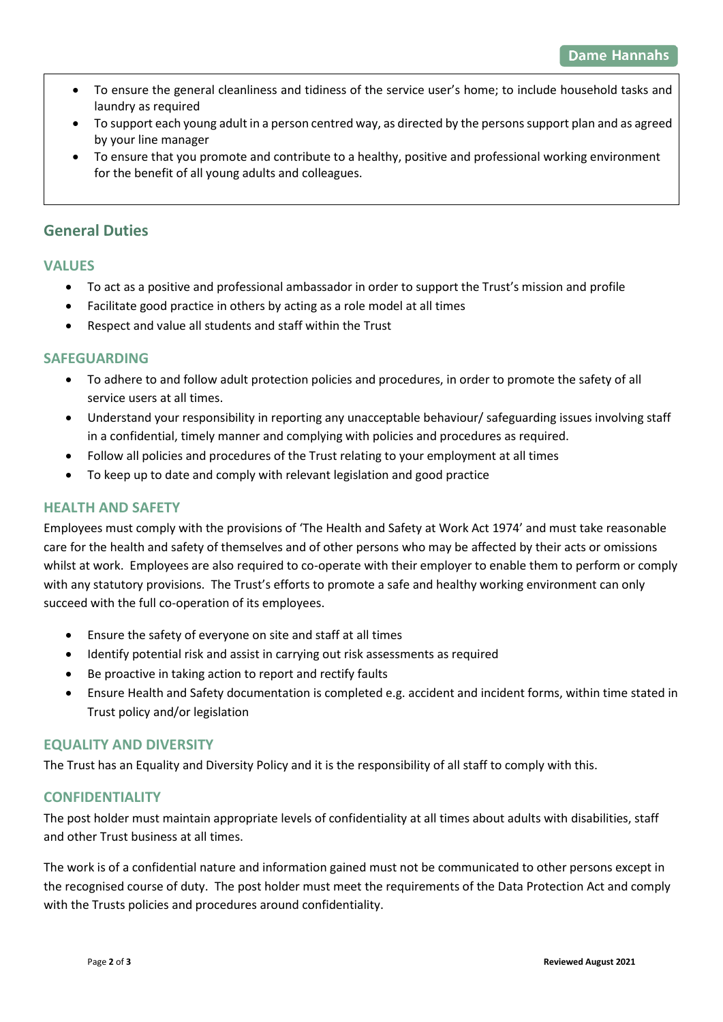- To ensure the general cleanliness and tidiness of the service user's home; to include household tasks and laundry as required
- To support each young adult in a person centred way, as directed by the persons support plan and as agreed by your line manager
- To ensure that you promote and contribute to a healthy, positive and professional working environment for the benefit of all young adults and colleagues.

# **General Duties**

# **VALUES**

- To act as a positive and professional ambassador in order to support the Trust's mission and profile
- Facilitate good practice in others by acting as a role model at all times
- Respect and value all students and staff within the Trust

# **SAFEGUARDING**

- To adhere to and follow adult protection policies and procedures, in order to promote the safety of all service users at all times.
- Understand your responsibility in reporting any unacceptable behaviour/ safeguarding issues involving staff in a confidential, timely manner and complying with policies and procedures as required.
- Follow all policies and procedures of the Trust relating to your employment at all times
- To keep up to date and comply with relevant legislation and good practice

# **HEALTH AND SAFETY**

Employees must comply with the provisions of 'The Health and Safety at Work Act 1974' and must take reasonable care for the health and safety of themselves and of other persons who may be affected by their acts or omissions whilst at work. Employees are also required to co-operate with their employer to enable them to perform or comply with any statutory provisions. The Trust's efforts to promote a safe and healthy working environment can only succeed with the full co-operation of its employees.

- Ensure the safety of everyone on site and staff at all times
- Identify potential risk and assist in carrying out risk assessments as required
- Be proactive in taking action to report and rectify faults
- Ensure Health and Safety documentation is completed e.g. accident and incident forms, within time stated in Trust policy and/or legislation

### **EQUALITY AND DIVERSITY**

The Trust has an Equality and Diversity Policy and it is the responsibility of all staff to comply with this.

### **CONFIDENTIALITY**

The post holder must maintain appropriate levels of confidentiality at all times about adults with disabilities, staff and other Trust business at all times.

The work is of a confidential nature and information gained must not be communicated to other persons except in the recognised course of duty. The post holder must meet the requirements of the Data Protection Act and comply with the Trusts policies and procedures around confidentiality.